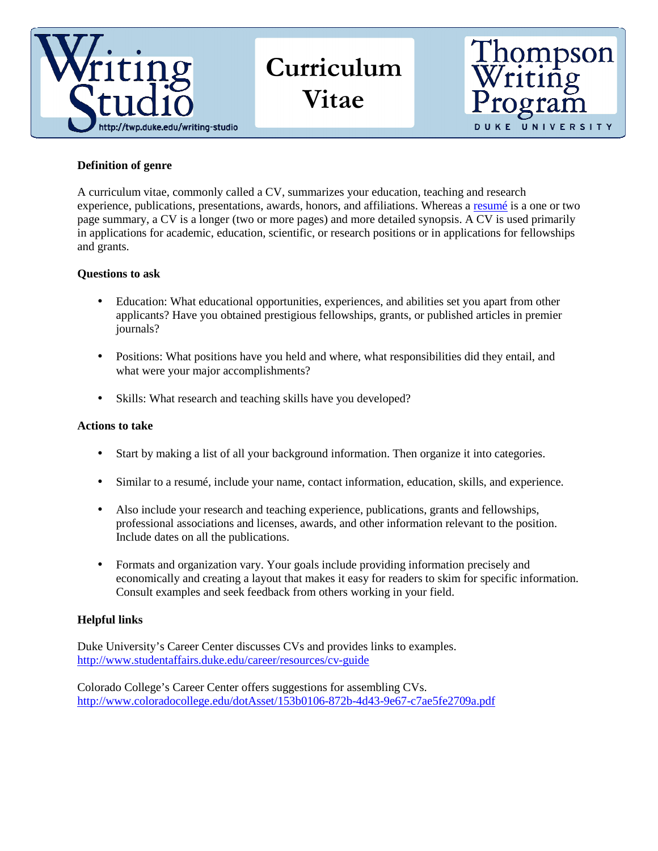

Curriculum Vitae



# **Definition of genre**

A curriculum vitae, commonly called a CV, summarizes your education, teaching and research experience, publications, presentations, awards, honors, and affiliations. Whereas a resumé is a one or two page summary, a CV is a longer (two or more pages) and more detailed synopsis. A CV is used primarily in applications for academic, education, scientific, or research positions or in applications for fellowships and grants.

# **Questions to ask**

- Education: What educational opportunities, experiences, and abilities set you apart from other applicants? Have you obtained prestigious fellowships, grants, or published articles in premier journals?
- Positions: What positions have you held and where, what responsibilities did they entail, and what were your major accomplishments?
- Skills: What research and teaching skills have you developed?

#### **Actions to take**

- Start by making a list of all your background information. Then organize it into categories.
- Similar to a resume, include your name, contact information, education, skills, and experience.
- Also include your research and teaching experience, publications, grants and fellowships, professional associations and licenses, awards, and other information relevant to the position. Include dates on all the publications.
- Formats and organization vary. Your goals include providing information precisely and economically and creating a layout that makes it easy for readers to skim for specific information. Consult examples and seek feedback from others working in your field.

# **Helpful links**

Duke University's Career Center discusses CVs and provides links to examples. http://www.studentaffairs.duke.edu/career/resources/cv-guide

Colorado College's Career Center offers suggestions for assembling CVs. http://www.coloradocollege.edu/dotAsset/153b0106-872b-4d43-9e67-c7ae5fe2709a.pdf